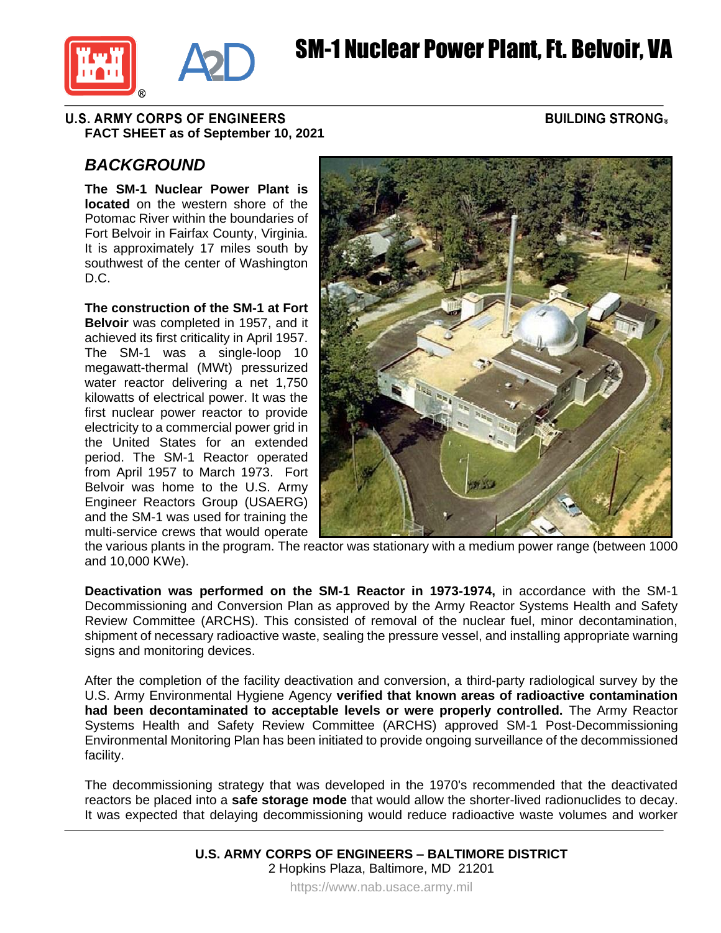



#### **U.S. ARMY CORPS OF ENGINEERS FACT SHEET as of September 10, 2021**

### **BUILDING STRONG®**

# *BACKGROUND*

**The SM-1 Nuclear Power Plant is located** on the western shore of the Potomac River within the boundaries of Fort Belvoir in Fairfax County, Virginia. It is approximately 17 miles south by southwest of the center of Washington D.C.

**The construction of the SM-1 at Fort Belvoir** was completed in 1957, and it achieved its first criticality in April 1957. The SM-1 was a single-loop 10 megawatt-thermal (MWt) pressurized water reactor delivering a net 1,750 kilowatts of electrical power. It was the first nuclear power reactor to provide electricity to a commercial power grid in the United States for an extended period. The SM-1 Reactor operated from April 1957 to March 1973. Fort Belvoir was home to the U.S. Army Engineer Reactors Group (USAERG) and the SM-1 was used for training the multi-service crews that would operate



the various plants in the program. The reactor was stationary with a medium power range (between 1000 and 10,000 KWe).

**Deactivation was performed on the SM-1 Reactor in 1973-1974,** in accordance with the SM-1 Decommissioning and Conversion Plan as approved by the Army Reactor Systems Health and Safety Review Committee (ARCHS). This consisted of removal of the nuclear fuel, minor decontamination, shipment of necessary radioactive waste, sealing the pressure vessel, and installing appropriate warning signs and monitoring devices.

After the completion of the facility deactivation and conversion, a third-party radiological survey by the U.S. Army Environmental Hygiene Agency **verified that known areas of radioactive contamination had been decontaminated to acceptable levels or were properly controlled.** The Army Reactor Systems Health and Safety Review Committee (ARCHS) approved SM-1 Post-Decommissioning Environmental Monitoring Plan has been initiated to provide ongoing surveillance of the decommissioned facility.

The decommissioning strategy that was developed in the 1970's recommended that the deactivated reactors be placed into a **safe storage mode** that would allow the shorter-lived radionuclides to decay. It was expected that delaying decommissioning would reduce radioactive waste volumes and worker